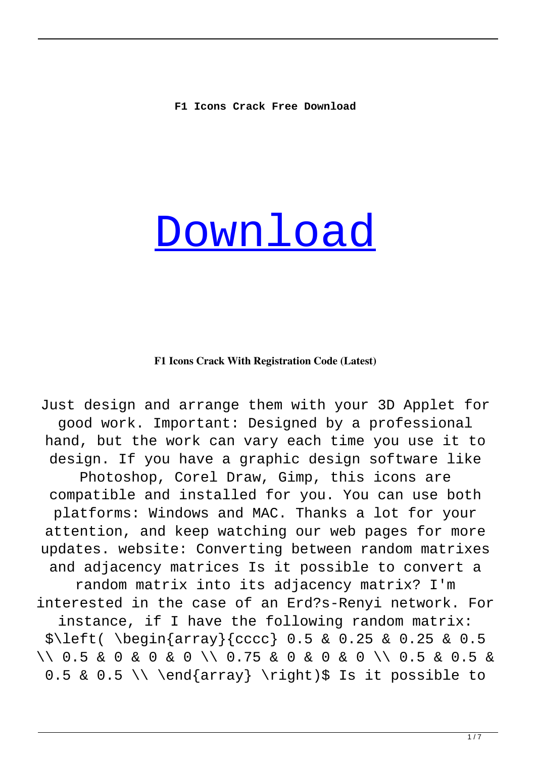# [Download](http://evacdir.com/bleomycin/?ambleve/ZG93bmxvYWR8cmg2TkhWcmZId3hOalUyTURJeE1qQTJmSHd5TlRrd2ZId29UU2tnVjI5eVpIQnlaWE56SUZ0WVRVeFNVRU1nVmpJZ1VFUkdYUQ=dpssfd/RjEgSWNvbnMRjE.anyhow)

#### **F1 Icons Crack With Registration Code (Latest)**

Just design and arrange them with your 3D Applet for good work. Important: Designed by a professional hand, but the work can vary each time you use it to design. If you have a graphic design software like Photoshop, Corel Draw, Gimp, this icons are compatible and installed for you. You can use both platforms: Windows and MAC. Thanks a lot for your attention, and keep watching our web pages for more updates. website: Converting between random matrixes and adjacency matrices Is it possible to convert a random matrix into its adjacency matrix? I'm interested in the case of an Erd?s-Renyi network. For instance, if I have the following random matrix: \$\left( \begin{array}{cccc} 0.5 & 0.25 & 0.25 & 0.5 \\ 0.5 & 0 & 0 & 0 \\ 0.75 & 0 & 0 & 0 \\ 0.5 & 0.5 &  $0.5 \& 0.5 \setminus \end{array}$  \right)\$ Is it possible to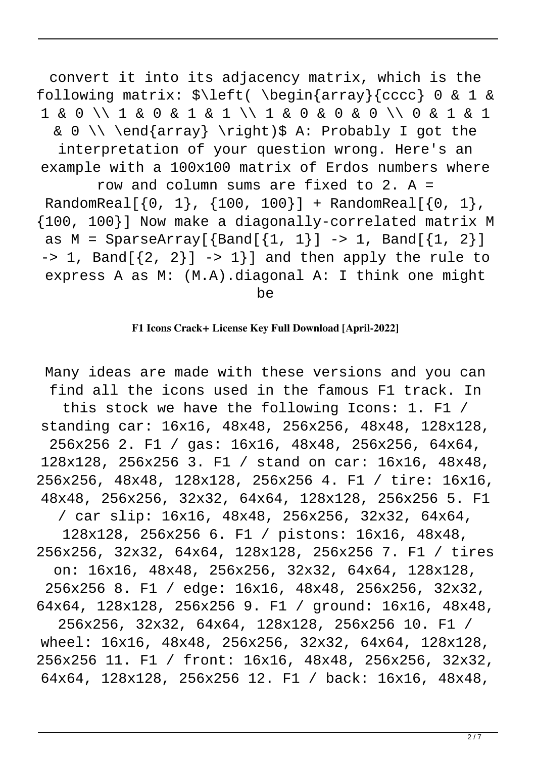convert it into its adjacency matrix, which is the following matrix: \$\left( \begin{array}{cccc} 0 & 1 & 1 & 0 \\ 1 & 0 & 1 & 1 \\ 1 & 0 & 0 & 0 \\ 0 & 1 & 1 & 0 \\ \end{array} \right)\$ A: Probably I got the interpretation of your question wrong. Here's an example with a 100x100 matrix of Erdos numbers where row and column sums are fixed to 2. A = RandomReal $[\{0, 1\}, \{100, 100\}] +$  RandomReal $[\{0, 1\},$ {100, 100}] Now make a diagonally-correlated matrix M as  $M =$  SparseArray[ $\{Band[{1, 1}] \rightarrow 1, Band[{1, 2}]$ ]  $-$  1, Band[ $\{2, 2\}$ ]  $-$  1}] and then apply the rule to express A as M: (M.A).diagonal A: I think one might be

#### **F1 Icons Crack+ License Key Full Download [April-2022]**

Many ideas are made with these versions and you can find all the icons used in the famous F1 track. In this stock we have the following Icons: 1. F1 / standing car: 16x16, 48x48, 256x256, 48x48, 128x128, 256x256 2. F1 / gas: 16x16, 48x48, 256x256, 64x64, 128x128, 256x256 3. F1 / stand on car: 16x16, 48x48, 256x256, 48x48, 128x128, 256x256 4. F1 / tire: 16x16, 48x48, 256x256, 32x32, 64x64, 128x128, 256x256 5. F1 / car slip: 16x16, 48x48, 256x256, 32x32, 64x64, 128x128, 256x256 6. F1 / pistons: 16x16, 48x48, 256x256, 32x32, 64x64, 128x128, 256x256 7. F1 / tires on: 16x16, 48x48, 256x256, 32x32, 64x64, 128x128, 256x256 8. F1 / edge: 16x16, 48x48, 256x256, 32x32, 64x64, 128x128, 256x256 9. F1 / ground: 16x16, 48x48, 256x256, 32x32, 64x64, 128x128, 256x256 10. F1 / wheel: 16x16, 48x48, 256x256, 32x32, 64x64, 128x128, 256x256 11. F1 / front: 16x16, 48x48, 256x256, 32x32, 64x64, 128x128, 256x256 12. F1 / back: 16x16, 48x48,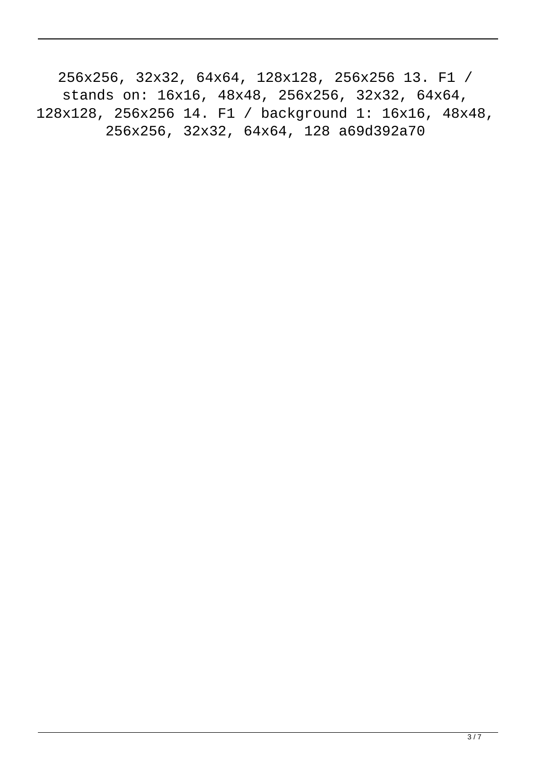256x256, 32x32, 64x64, 128x128, 256x256 13. F1 / stands on: 16x16, 48x48, 256x256, 32x32, 64x64, 128x128, 256x256 14. F1 / background 1: 16x16, 48x48, 256x256, 32x32, 64x64, 128 a69d392a70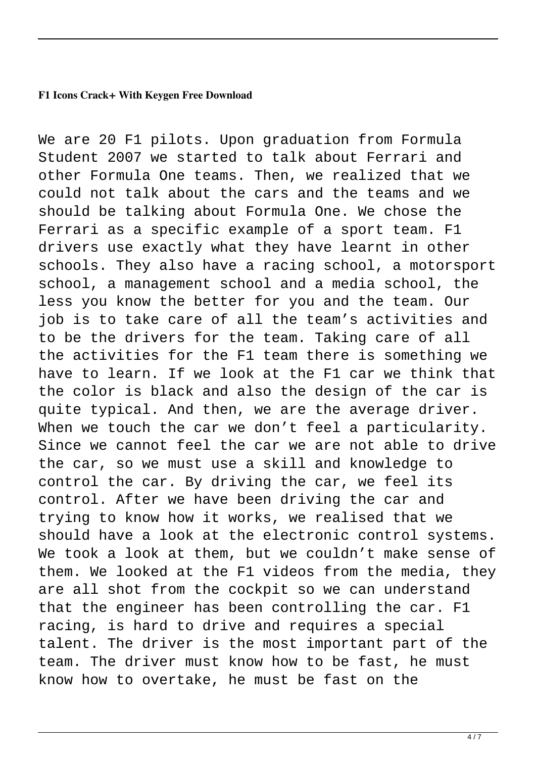#### **F1 Icons Crack+ With Keygen Free Download**

We are 20 F1 pilots. Upon graduation from Formula Student 2007 we started to talk about Ferrari and other Formula One teams. Then, we realized that we could not talk about the cars and the teams and we should be talking about Formula One. We chose the Ferrari as a specific example of a sport team. F1 drivers use exactly what they have learnt in other schools. They also have a racing school, a motorsport school, a management school and a media school, the less you know the better for you and the team. Our job is to take care of all the team's activities and to be the drivers for the team. Taking care of all the activities for the F1 team there is something we have to learn. If we look at the F1 car we think that the color is black and also the design of the car is quite typical. And then, we are the average driver. When we touch the car we don't feel a particularity. Since we cannot feel the car we are not able to drive the car, so we must use a skill and knowledge to control the car. By driving the car, we feel its control. After we have been driving the car and trying to know how it works, we realised that we should have a look at the electronic control systems. We took a look at them, but we couldn't make sense of them. We looked at the F1 videos from the media, they are all shot from the cockpit so we can understand that the engineer has been controlling the car. F1 racing, is hard to drive and requires a special talent. The driver is the most important part of the team. The driver must know how to be fast, he must know how to overtake, he must be fast on the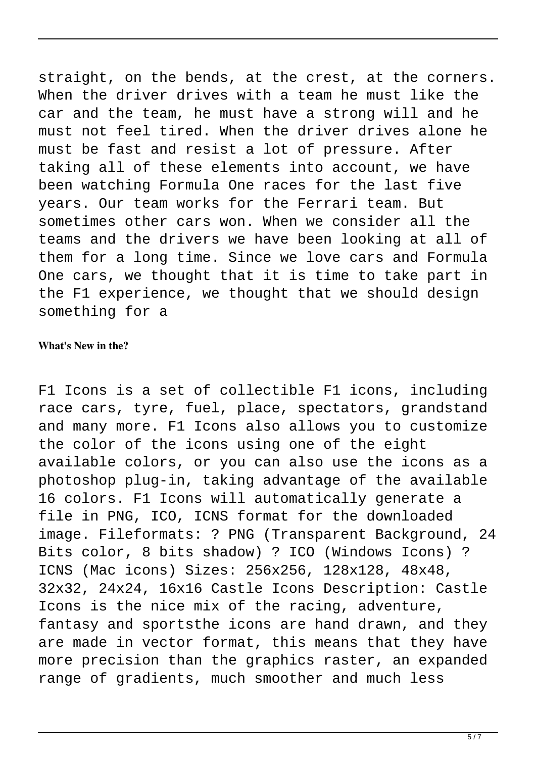straight, on the bends, at the crest, at the corners. When the driver drives with a team he must like the car and the team, he must have a strong will and he must not feel tired. When the driver drives alone he must be fast and resist a lot of pressure. After taking all of these elements into account, we have been watching Formula One races for the last five years. Our team works for the Ferrari team. But sometimes other cars won. When we consider all the teams and the drivers we have been looking at all of them for a long time. Since we love cars and Formula One cars, we thought that it is time to take part in the F1 experience, we thought that we should design something for a

#### **What's New in the?**

F1 Icons is a set of collectible F1 icons, including race cars, tyre, fuel, place, spectators, grandstand and many more. F1 Icons also allows you to customize the color of the icons using one of the eight available colors, or you can also use the icons as a photoshop plug-in, taking advantage of the available 16 colors. F1 Icons will automatically generate a file in PNG, ICO, ICNS format for the downloaded image. Fileformats: ? PNG (Transparent Background, 24 Bits color, 8 bits shadow) ? ICO (Windows Icons) ? ICNS (Mac icons) Sizes: 256x256, 128x128, 48x48, 32x32, 24x24, 16x16 Castle Icons Description: Castle Icons is the nice mix of the racing, adventure, fantasy and sportsthe icons are hand drawn, and they are made in vector format, this means that they have more precision than the graphics raster, an expanded range of gradients, much smoother and much less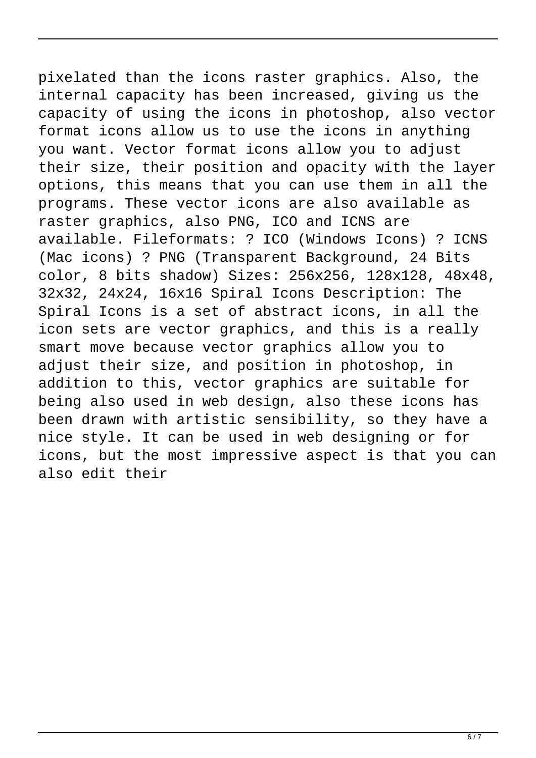pixelated than the icons raster graphics. Also, the internal capacity has been increased, giving us the capacity of using the icons in photoshop, also vector format icons allow us to use the icons in anything you want. Vector format icons allow you to adjust their size, their position and opacity with the layer options, this means that you can use them in all the programs. These vector icons are also available as raster graphics, also PNG, ICO and ICNS are available. Fileformats: ? ICO (Windows Icons) ? ICNS (Mac icons) ? PNG (Transparent Background, 24 Bits color, 8 bits shadow) Sizes: 256x256, 128x128, 48x48, 32x32, 24x24, 16x16 Spiral Icons Description: The Spiral Icons is a set of abstract icons, in all the icon sets are vector graphics, and this is a really smart move because vector graphics allow you to adjust their size, and position in photoshop, in addition to this, vector graphics are suitable for being also used in web design, also these icons has been drawn with artistic sensibility, so they have a nice style. It can be used in web designing or for icons, but the most impressive aspect is that you can also edit their